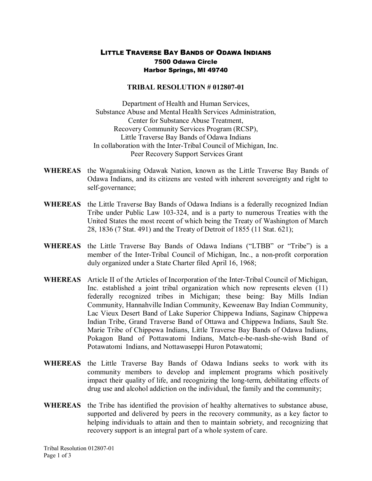## LITTLE TRAVERSE BAY BANDS OF ODAWA INDIANS 7500 Odawa Circle Harbor Springs, MI 49740

## **TRIBAL RESOLUTION # 012807-01**

Department of Health and Human Services, Substance Abuse and Mental Health Services Administration, Center for Substance Abuse Treatment, Recovery Community Services Program (RCSP), Little Traverse Bay Bands of Odawa Indians In collaboration with the Inter-Tribal Council of Michigan, Inc. Peer Recovery Support Services Grant

- **WHEREAS** the Waganakising Odawak Nation, known as the Little Traverse Bay Bands of Odawa Indians, and its citizens are vested with inherent sovereignty and right to self-governance;
- **WHEREAS** the Little Traverse Bay Bands of Odawa Indians is a federally recognized Indian Tribe under Public Law 103-324, and is a party to numerous Treaties with the United States the most recent of which being the Treaty of Washington of March 28, 1836 (7 Stat. 491) and the Treaty of Detroit of 1855 (11 Stat. 621);
- **WHEREAS** the Little Traverse Bay Bands of Odawa Indians ("LTBB" or "Tribe") is a member of the Inter-Tribal Council of Michigan, Inc., a non-profit corporation duly organized under a State Charter filed April 16, 1968;
- WHEREAS Article II of the Articles of Incorporation of the Inter-Tribal Council of Michigan, Inc. established a joint tribal organization which now represents eleven (11) federally recognized tribes in Michigan; these being: Bay Mills Indian Community, Hannahville Indian Community, Keweenaw Bay Indian Community, Lac Vieux Desert Band of Lake Superior Chippewa Indians, Saginaw Chippewa Indian Tribe, Grand Traverse Band of Ottawa and Chippewa Indians, Sault Ste. Marie Tribe of Chippewa Indians, Little Traverse Bay Bands of Odawa Indians, Pokagon Band of Pottawatomi Indians, Match-e-be-nash-she-wish Band of Potawatomi Indians, and Nottawaseppi Huron Potawatomi;
- **WHEREAS** the Little Traverse Bay Bands of Odawa Indians seeks to work with its community members to develop and implement programs which positively impact their quality of life, and recognizing the long-term, debilitating effects of drug use and alcohol addiction on the individual, the family and the community;
- WHEREAS the Tribe has identified the provision of healthy alternatives to substance abuse, supported and delivered by peers in the recovery community, as a key factor to helping individuals to attain and then to maintain sobriety, and recognizing that recovery support is an integral part of a whole system of care.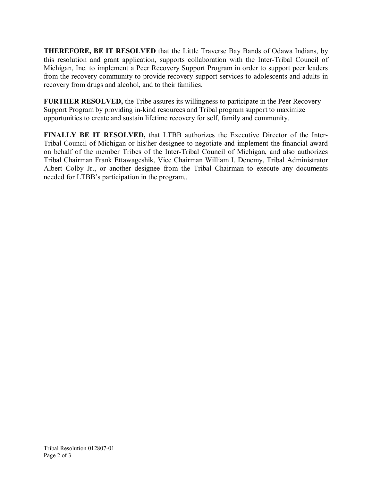**THEREFORE, BE IT RESOLVED** that the Little Traverse Bay Bands of Odawa Indians, by this resolution and grant application, supports collaboration with the Inter-Tribal Council of Michigan, Inc. to implement a Peer Recovery Support Program in order to support peer leaders from the recovery community to provide recovery support services to adolescents and adults in recovery from drugs and alcohol, and to their families.

**FURTHER RESOLVED,** the Tribe assures its willingness to participate in the Peer Recovery Support Program by providing in-kind resources and Tribal program support to maximize opportunities to create and sustain lifetime recovery for self, family and community.

**FINALLY BE IT RESOLVED,** that LTBB authorizes the Executive Director of the Inter-Tribal Council of Michigan or his/her designee to negotiate and implement the financial award on behalf of the member Tribes of the Inter-Tribal Council of Michigan, and also authorizes Tribal Chairman Frank Ettawageshik, Vice Chairman William I. Denemy, Tribal Administrator Albert Colby Jr., or another designee from the Tribal Chairman to execute any documents needed for LTBB's participation in the program..